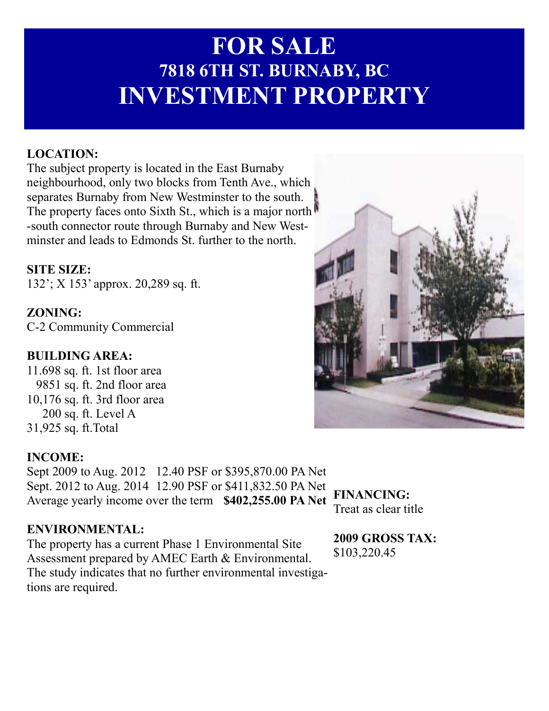# **FOR SALE 7818 6TH ST. BURABY, BC INVESTMENT PROPERTY**

## **LOCATIO:**

The subject property is located in the East Burnaby neighbourhood, only two blocks from Tenth Ave., which separates Burnaby from New Westminster to the south. The property faces onto Sixth St., which is a major north -south connector route through Burnaby and New Westminster and leads to Edmonds St. further to the north.

#### **SITE SIZE:**

132'; X 153' approx. 20,289 sq. ft.

**ZONING:** C-2 Community Commercial

#### **BUILDIG AREA:**

11.698 sq. ft. 1st floor area 9851 sq. ft. 2nd floor area 10,176 sq. ft. 3rd floor area 200 sq. ft. Level A 31,925 sq. ft.Total

#### **INCOME:**

Sept 2009 to Aug. 2012 12.40 PSF or \$395,870.00 PA Net Sept. 2012 to Aug. 2014 12.90 PSF or \$411,832.50 PA Net Average yearly income over the term \$402,255.00 PA Net

#### ENVIRONMENTAL:

The property has a current Phase 1 Environmental Site Assessment prepared by AMEC Earth & Environmental. The study indicates that no further environmental investigations are required.

**FINANCING:** Treat as clear title

**2009 GROSS TAX:**  \$103,220.45